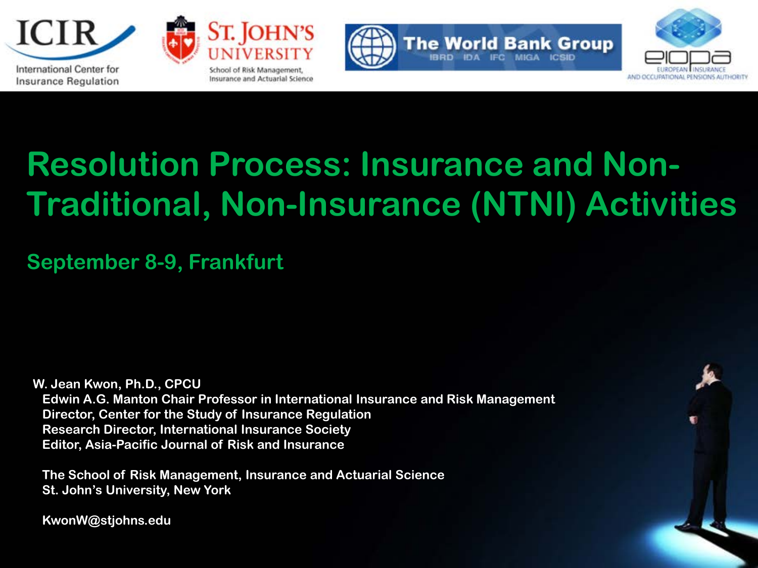



**BRD DA** 



# **Resolution Process: Insurance and Non-Traditional, Non-Insurance (NTNI) Activities**

**September 8-9, Frankfurt**

**W. Jean Kwon, Ph.D., CPCU Edwin A.G. Manton Chair Professor in International Insurance and Risk Management Director, Center for the Study of Insurance Regulation Research Director, International Insurance Society Editor, Asia-Pacific Journal of Risk and Insurance**

 **The School of Risk Management, Insurance and Actuarial Science St. John's University, New York**

 **KwonW@stjohns.edu**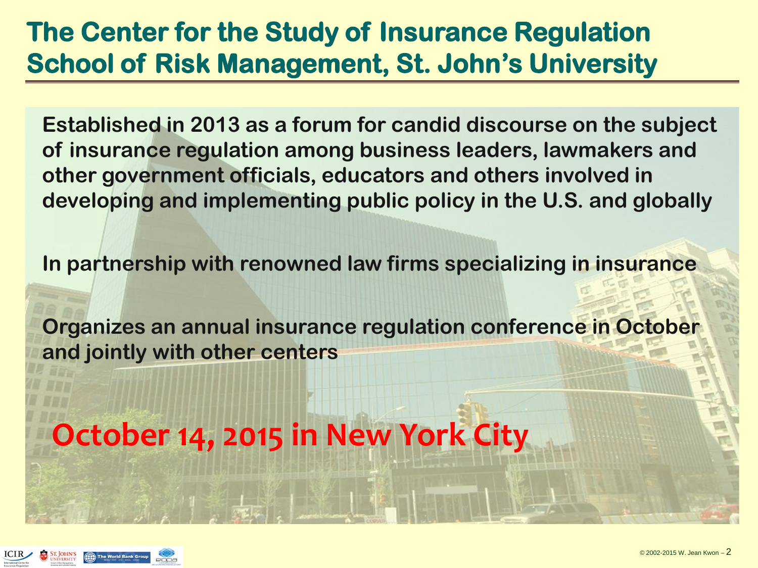#### **The Center for the Study of Insurance Regulation School of Risk Management, St. John's University**

**Established in 2013 as a forum for candid discourse on the subject of insurance regulation among business leaders, lawmakers and other government officials, educators and others involved in developing and implementing public policy in the U.S. and globally**

**In partnership with renowned law firms specializing in insurance**

**Organizes an annual insurance regulation conference in October and jointly with other centers** 

**October 14, 2015 in New York City**

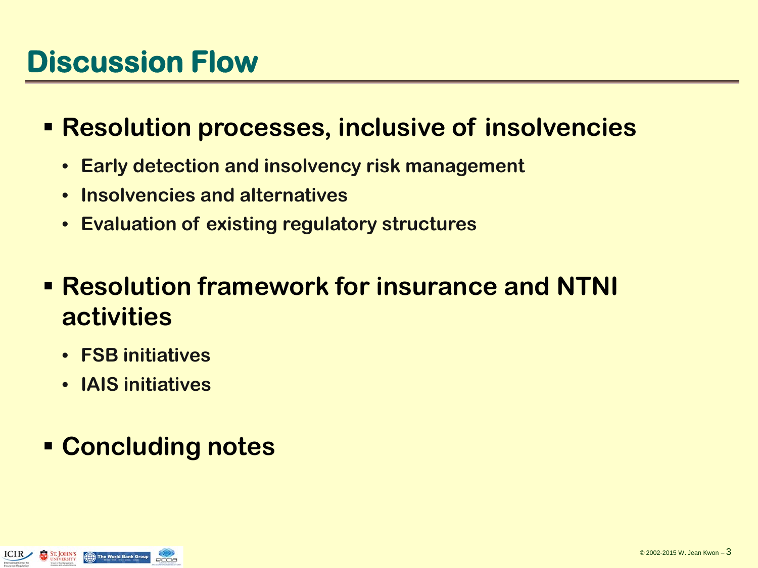## **Discussion Flow**

- **Resolution processes, inclusive of insolvencies** 
	- **Early detection and insolvency risk management**
	- **Insolvencies and alternatives**
	- **Evaluation of existing regulatory structures**
- **Resolution framework for insurance and NTNI activities**
	- **FSB initiatives**
	- **IAIS initiatives**

#### **Concluding notes**

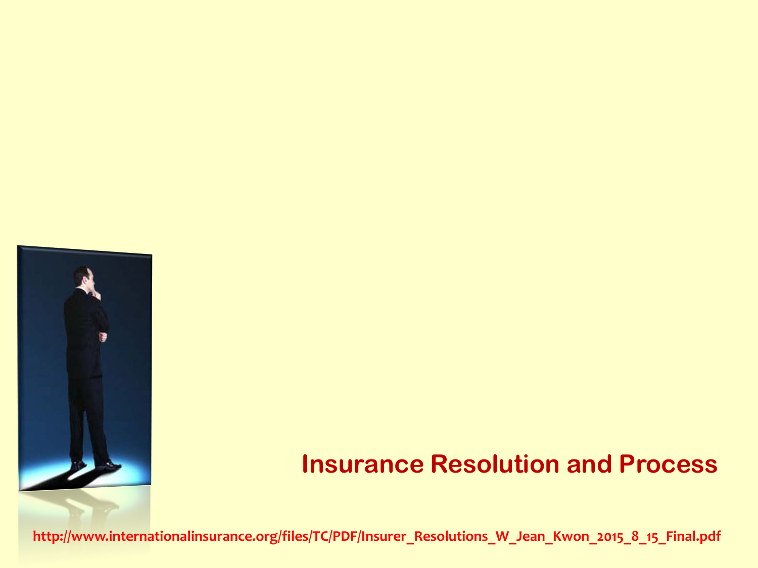

#### **Insurance Resolution and Process**

**[http://www.internationalinsurance.org/files/TC/PDF/Insurer\\_Resolutions\\_W\\_Jean\\_Kwon\\_2015\\_8\\_15\\_Final.pdf](http://www.internationalinsurance.org/files/TC/PDF/Insurer_Resolutions_W_Jean_Kwon_2015_8_15_Final.pdf)**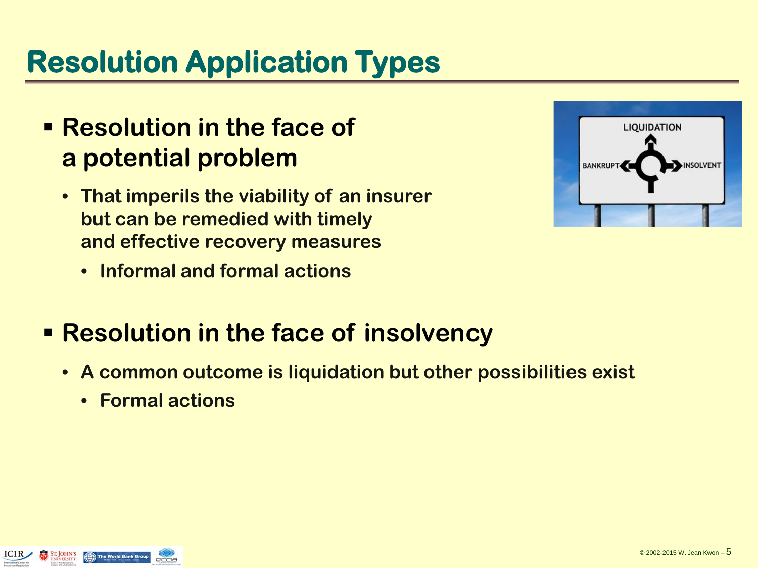## **Resolution Application Types**

- **Resolution in the face of a potential problem**
	- **That imperils the viability of an insurer but can be remedied with timely and effective recovery measures**
		- **Informal and formal actions**
- **Resolution in the face of insolvency** 
	- **A common outcome is liquidation but other possibilities exist**
		- **Formal actions**

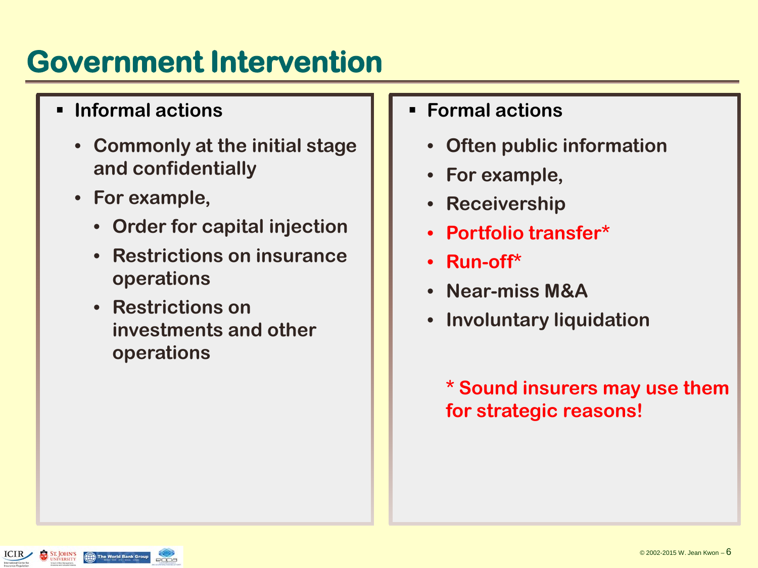## **Government Intervention**

- **Informal actions**
	- **Commonly at the initial stage and confidentially**
	- **For example,** 
		- **Order for capital injection**
		- **Restrictions on insurance operations**
		- **Restrictions on investments and other operations**
- **Formal actions**
	- **Often public information**
	- **For example,**
	- **Receivership**
	- **Portfolio transfer\***
	- **Run-off\***
	- **Near-miss M&A**
	- **Involuntary liquidation**

**\* Sound insurers may use them for strategic reasons!**

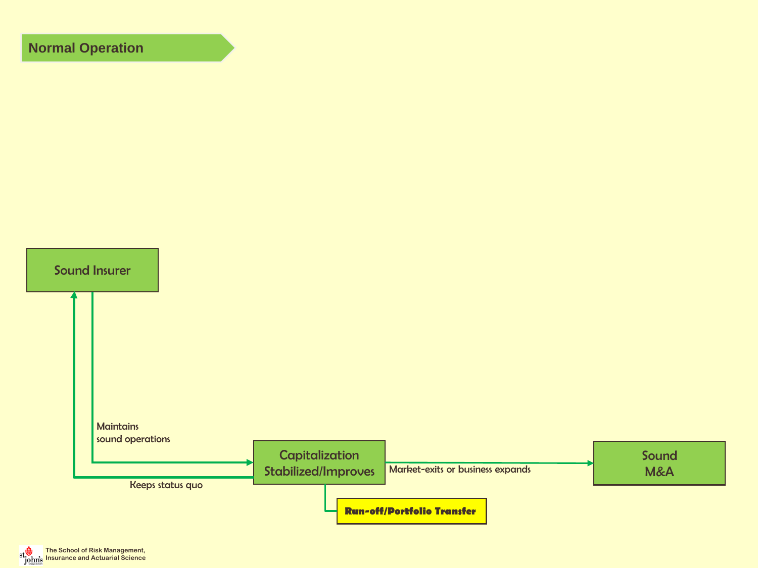#### **Normal Operation**



**The School of Risk Management, Insurance and Actuarial Science**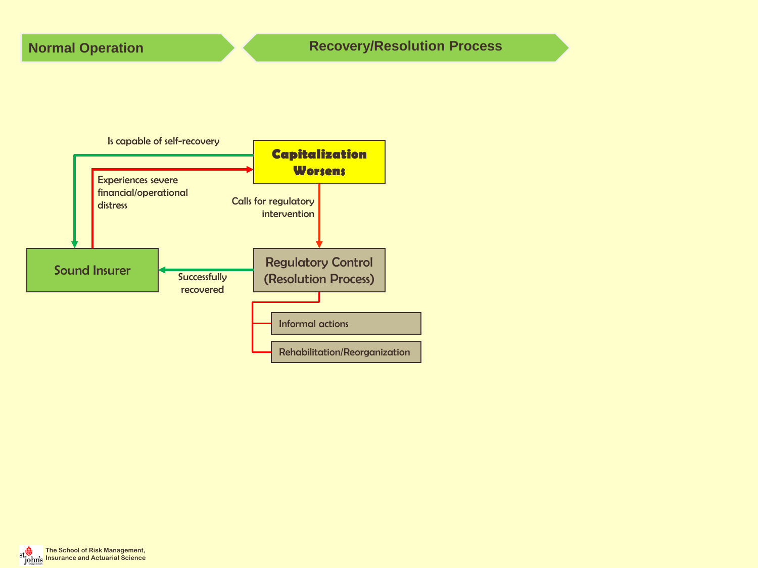

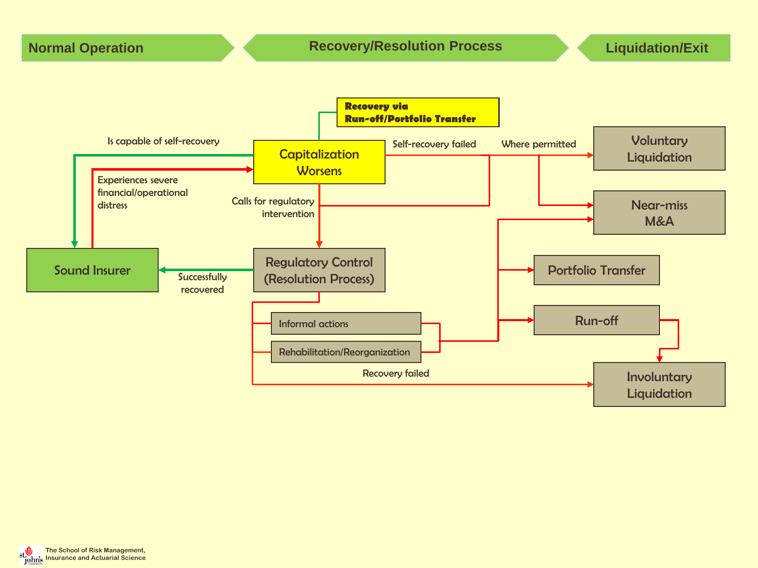

**The School of Risk Management, Insurance and Actuarial Science**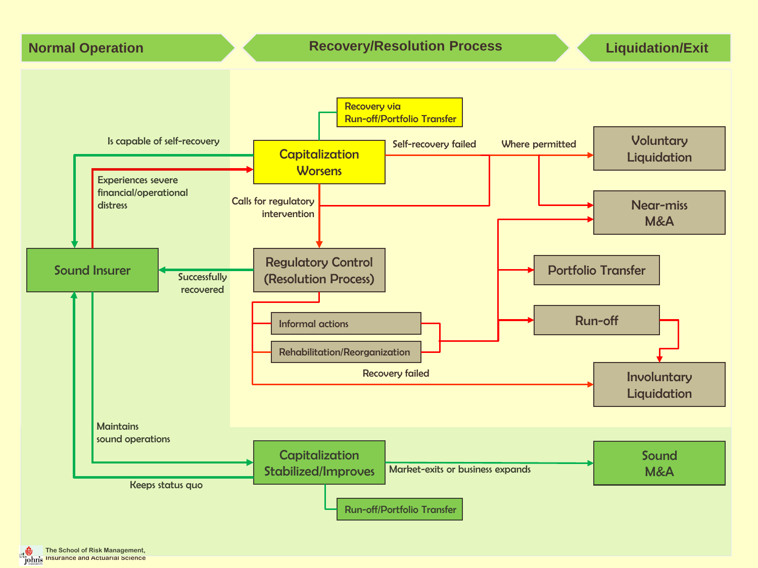

**The School of Risk Management, Insurance and Actuarial Science**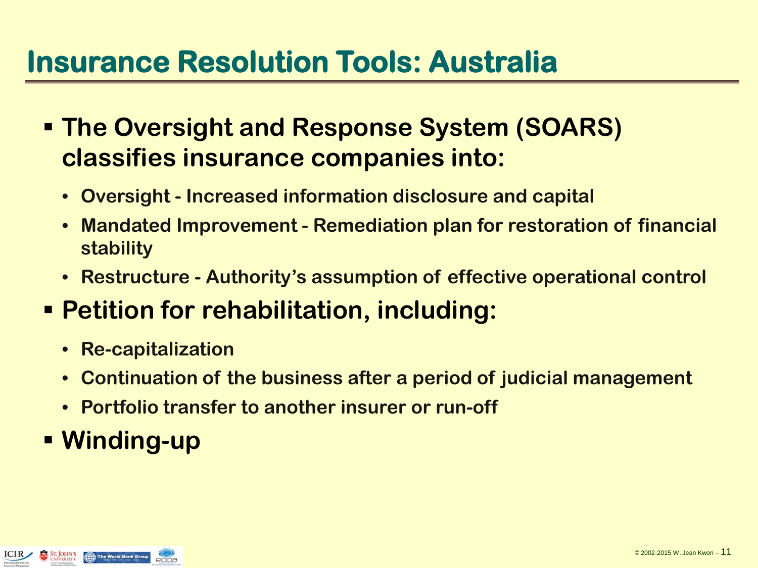## **Insurance Resolution Tools: Australia**

- **The Oversight and Response System (SOARS) classifies insurance companies into:**
	- **Oversight - Increased information disclosure and capital**
	- **Mandated Improvement - Remediation plan for restoration of financial stability**
	- **Restructure - Authority's assumption of effective operational control**
- **Petition for rehabilitation, including:**
	- **Re-capitalization**
	- **Continuation of the business after a period of judicial management**
	- **Portfolio transfer to another insurer or run-off**
- **Winding-up**

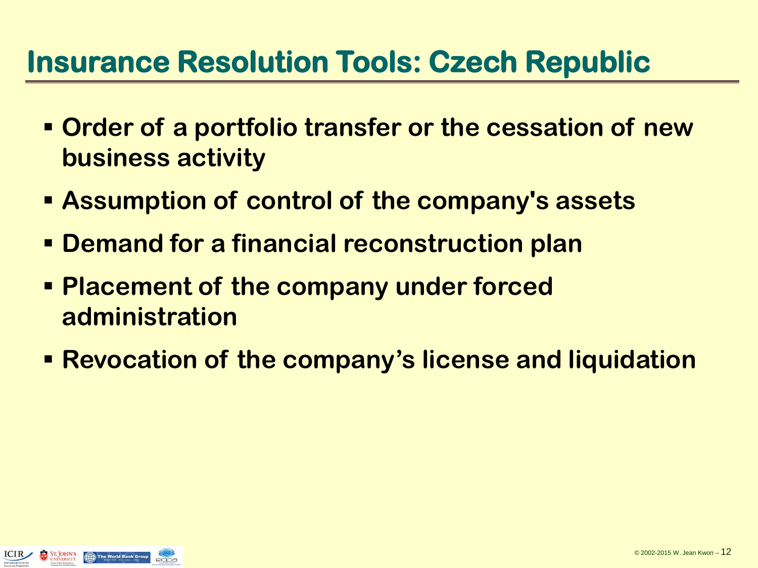## **Insurance Resolution Tools: Czech Republic**

- **Order of a portfolio transfer or the cessation of new business activity**
- **Assumption of control of the company's assets**
- **Demand for a financial reconstruction plan**
- **Placement of the company under forced administration**
- **Revocation of the company's license and liquidation**

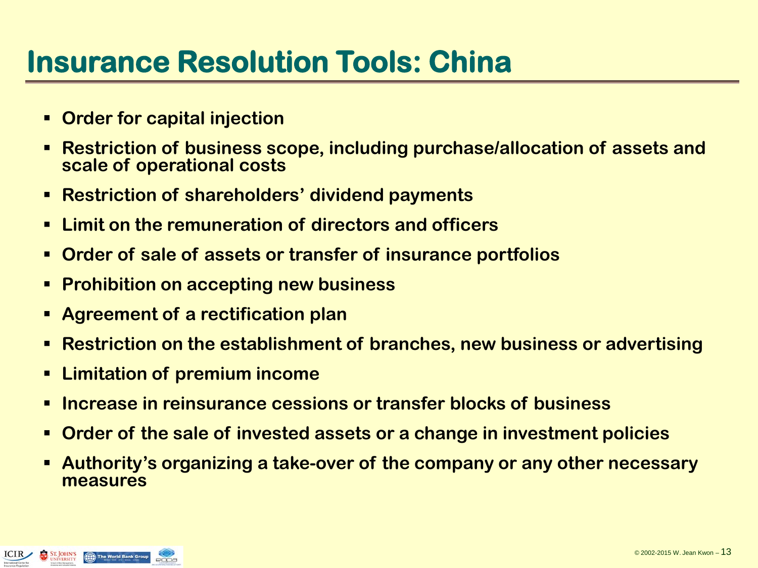## **Insurance Resolution Tools: China**

- **Order for capital injection**
- **Restriction of business scope, including purchase/allocation of assets and scale of operational costs**
- **Restriction of shareholders' dividend payments**
- **Limit on the remuneration of directors and officers**
- **Order of sale of assets or transfer of insurance portfolios**
- **Prohibition on accepting new business**
- **Agreement of a rectification plan**
- **Restriction on the establishment of branches, new business or advertising**
- **Limitation of premium income**
- **Increase in reinsurance cessions or transfer blocks of business**
- **Order of the sale of invested assets or a change in investment policies**
- **Authority's organizing a take-over of the company or any other necessary measures**

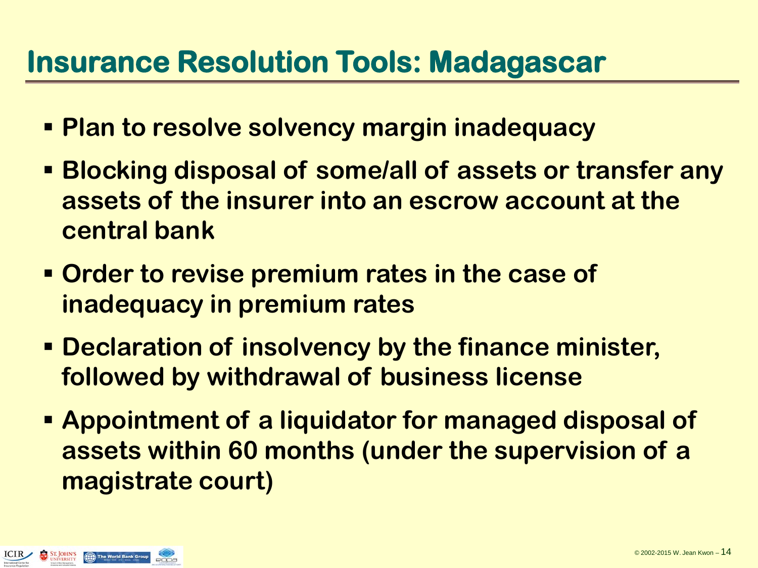## **Insurance Resolution Tools: Madagascar**

- **Plan to resolve solvency margin inadequacy**
- **Blocking disposal of some/all of assets or transfer any assets of the insurer into an escrow account at the central bank**
- **Order to revise premium rates in the case of inadequacy in premium rates**
- **Declaration of insolvency by the finance minister, followed by withdrawal of business license**
- **Appointment of a liquidator for managed disposal of assets within 60 months (under the supervision of a magistrate court)**

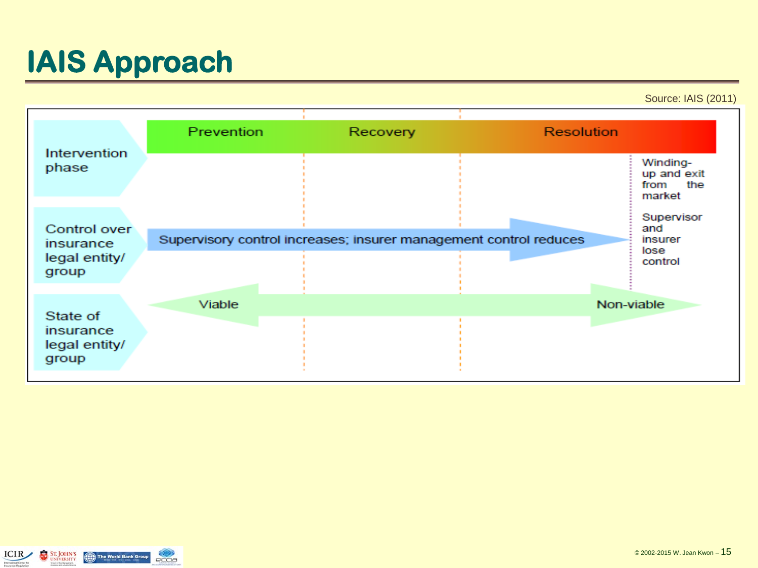## **IAIS Approach**

Source: IAIS (2011)

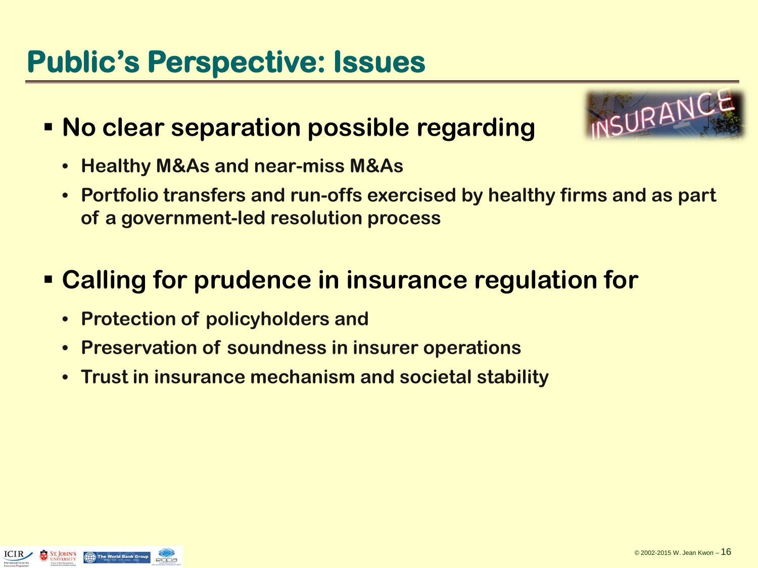## **Public's Perspective: Issues**

#### **No clear separation possible regarding**



- **Healthy M&As and near-miss M&As**
- **Portfolio transfers and run-offs exercised by healthy firms and as part of a government-led resolution process**

#### **Calling for prudence in insurance regulation for**

- **Protection of policyholders and**
- **Preservation of soundness in insurer operations**
- **Trust in insurance mechanism and societal stability**

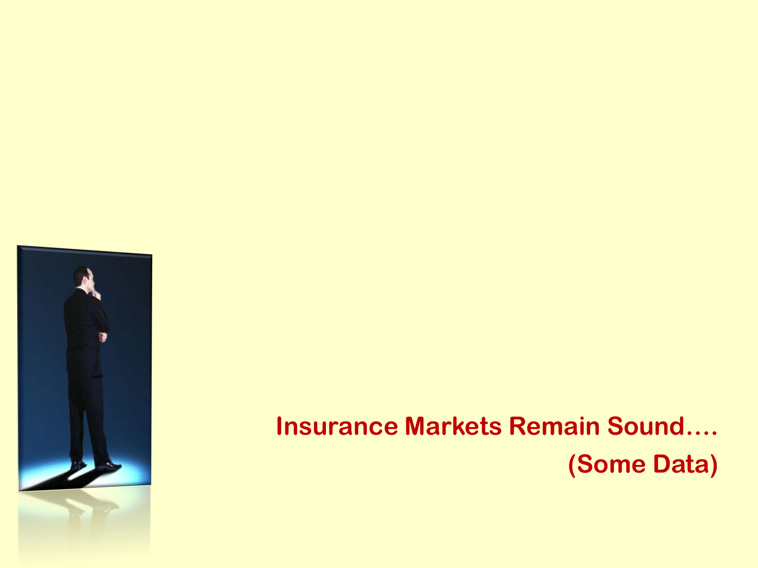

## **Insurance Markets Remain Sound…. (Some Data)**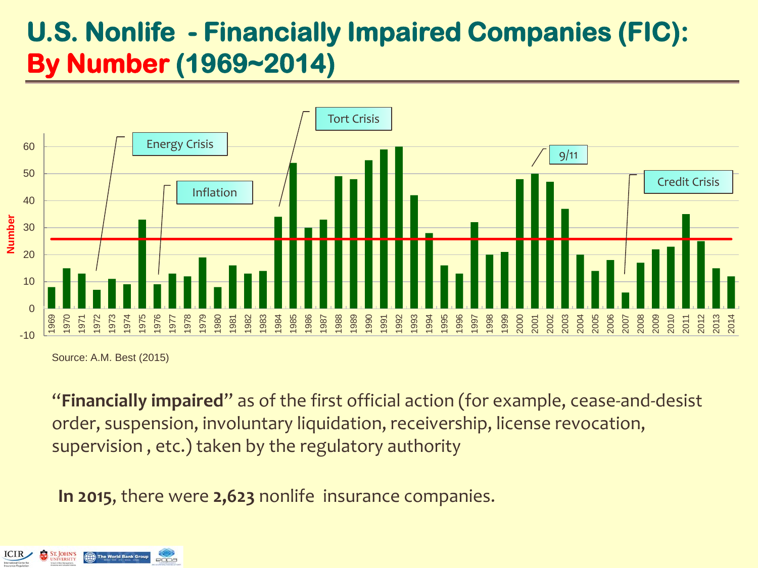#### **U.S. Nonlife - Financially Impaired Companies (FIC): By Number (1969~2014)**



Source: A.M. Best (2015)

"**Financially impaired**" as of the first official action (for example, cease-and-desist order, suspension, involuntary liquidation, receivership, license revocation, supervision , etc.) taken by the regulatory authority

**In 2015**, there were **2,623** nonlife insurance companies.

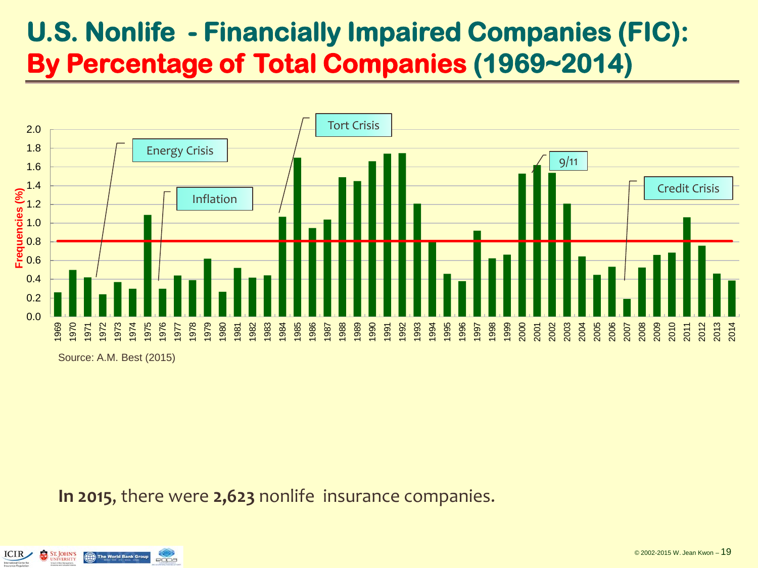#### **U.S. Nonlife - Financially Impaired Companies (FIC): By Percentage of Total Companies (1969~2014)**



Source: A.M. Best (2015)

**In 2015**, there were **2,623** nonlife insurance companies.

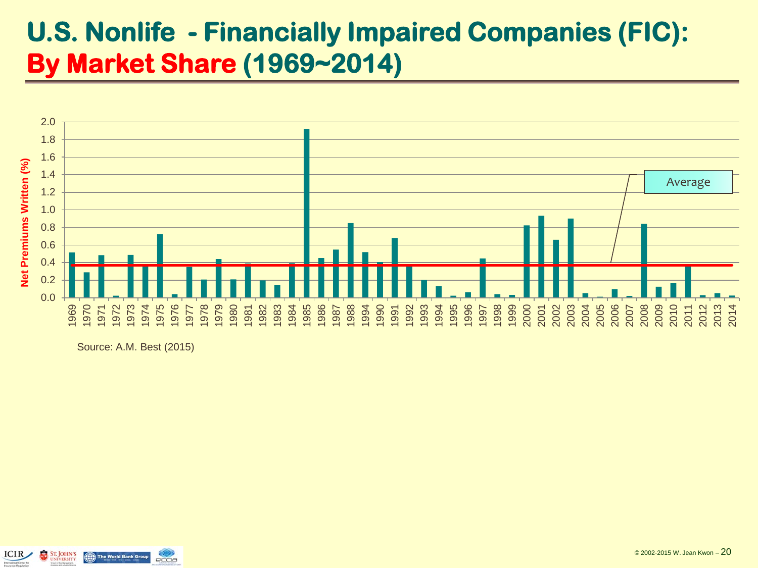#### **U.S. Nonlife - Financially Impaired Companies (FIC): By Market Share (1969~2014)**



Source: A.M. Best (2015)

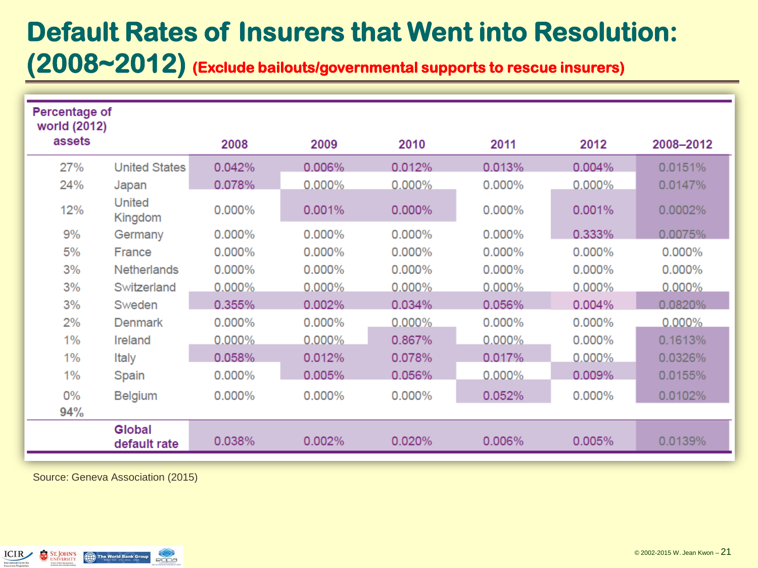#### **Default Rates of Insurers that Went into Resolution: (2008~2012) (Exclude bailouts/governmental supports to rescue insurers)**

| Percentage of<br>world (2012) |                          |           |           |           |           |           |           |
|-------------------------------|--------------------------|-----------|-----------|-----------|-----------|-----------|-----------|
| assets                        |                          | 2008      | 2009      | 2010      | 2011      | 2012      | 2008-2012 |
| 27%                           | <b>United States</b>     | 0.042%    | 0.006%    | 0.012%    | 0.013%    | 0.004%    | 0.0151%   |
| 24%                           | Japan                    | 0.078%    | 0.000%    | $0.000\%$ | 0.000%    | $0.000\%$ | 0.0147%   |
| 12%                           | <b>United</b><br>Kingdom | 0.000%    | 0.001%    | 0.000%    | 0.000%    | 0.001%    | 0.0002%   |
| 9%                            | Germany                  | 0.000%    | 0.000%    | 0.000%    | 0.000%    | 0.333%    | 0.0075%   |
| 5%                            | France                   | 0.000%    | 0.000%    | 0.000%    | 0.000%    | 0.000%    | 0.000%    |
| 3%                            | <b>Netherlands</b>       | 0.000%    | 0.000%    | 0.000%    | 0.000%    | $0.000\%$ | 0.000%    |
| 3%                            | Switzerland              | $0.000\%$ | $0.000\%$ | $0.000\%$ | $0.000\%$ | $0.000\%$ | $0.000\%$ |
| 3%                            | Sweden                   | 0.355%    | 0.002%    | 0.034%    | 0.056%    | 0.004%    | 0.0820%   |
| 2%                            | <b>Denmark</b>           | 0.000%    | 0.000%    | $0.000\%$ | 0.000%    | 0.000%    | $0.000\%$ |
| 1%                            | Ireland                  | $0.000\%$ | $0.000\%$ | 0.867%    | $0.000\%$ | $0.000\%$ | 0.1613%   |
| 1%                            | <b>Italy</b>             | 0.058%    | 0.012%    | 0.078%    | 0.017%    | $0.000\%$ | 0.0326%   |
| 1%                            | Spain                    | 0.000%    | 0.005%    | 0.056%    | $0.000\%$ | 0.009%    | 0.0155%   |
| 0%<br>94%                     | <b>Belgium</b>           | 0.000%    | 0.000%    | 0.000%    | 0.052%    | 0.000%    | 0.0102%   |
|                               | Global<br>default rate   | 0.038%    | 0.002%    | 0.020%    | 0.006%    | 0.005%    | 0.0139%   |

Source: Geneva Association (2015)

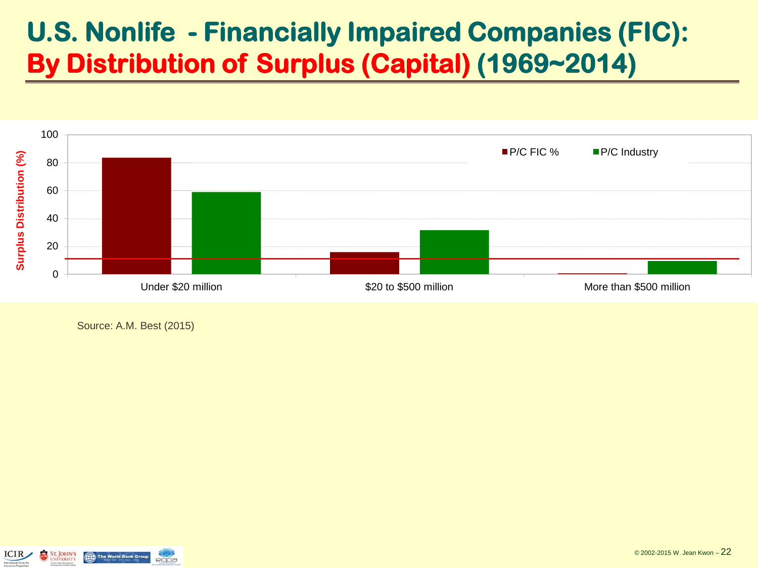#### **U.S. Nonlife - Financially Impaired Companies (FIC): By Distribution of Surplus (Capital) (1969~2014)**



Source: A.M. Best (2015)

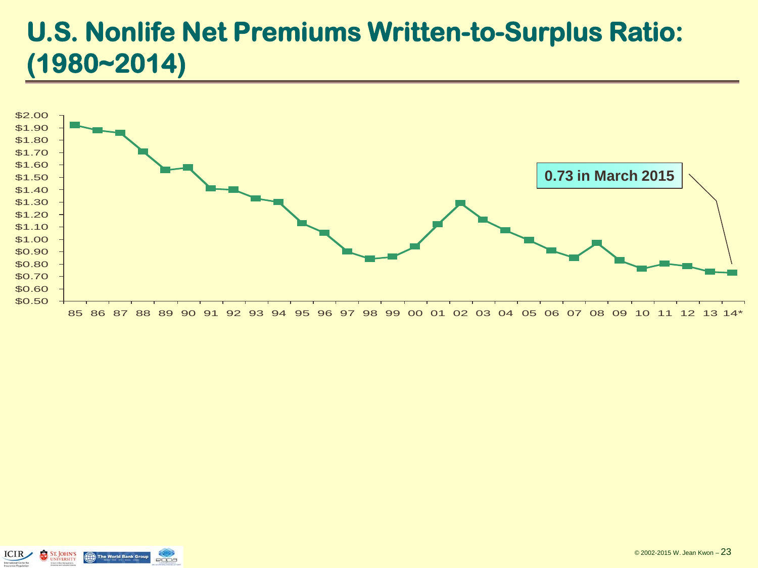#### **U.S. Nonlife Net Premiums Written-to-Surplus Ratio: (1980~2014)**



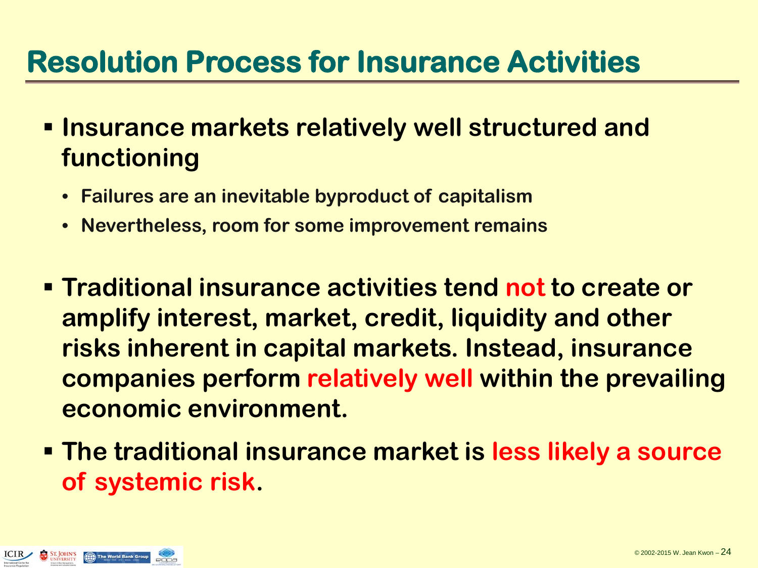## **Resolution Process for Insurance Activities**

- **Insurance markets relatively well structured and functioning**
	- **Failures are an inevitable byproduct of capitalism**
	- **Nevertheless, room for some improvement remains**
- **Traditional insurance activities tend not to create or amplify interest, market, credit, liquidity and other risks inherent in capital markets. Instead, insurance companies perform relatively well within the prevailing economic environment.**
- **The traditional insurance market is less likely a source of systemic risk.**

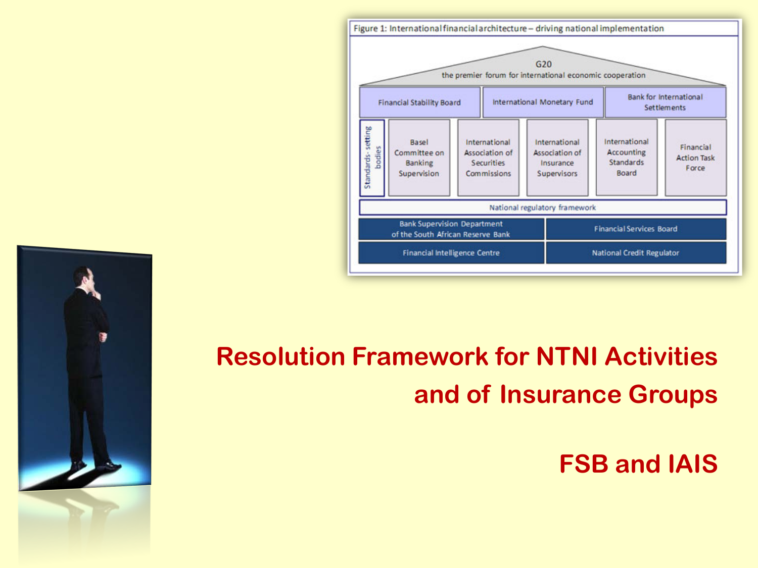

### **Resolution Framework for NTNI Activities and of Insurance Groups**

#### **FSB and IAIS**

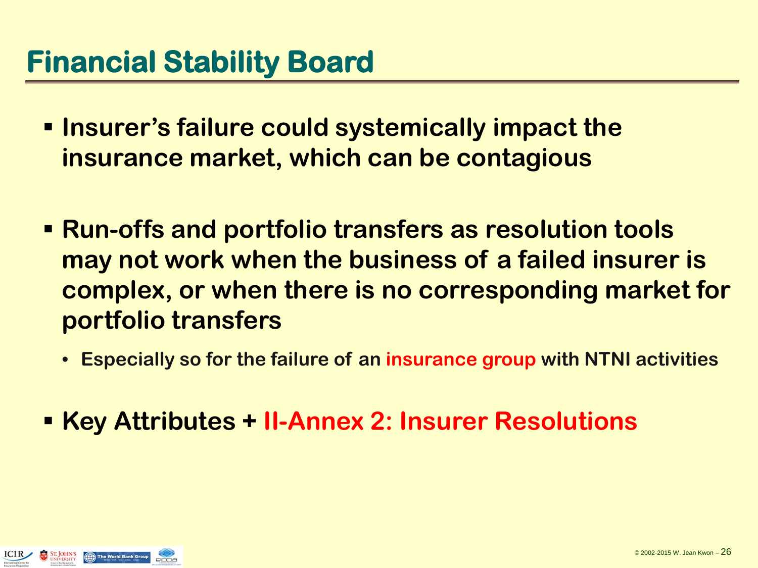- **<u><b>E** Insurer's failure could systemically impact the</u> **insurance market, which can be contagious**
- **Run-offs and portfolio transfers as resolution tools may not work when the business of a failed insurer is complex, or when there is no corresponding market for portfolio transfers**
	- **Especially so for the failure of an insurance group with NTNI activities**
- **Key Attributes + II-Annex 2: Insurer Resolutions**

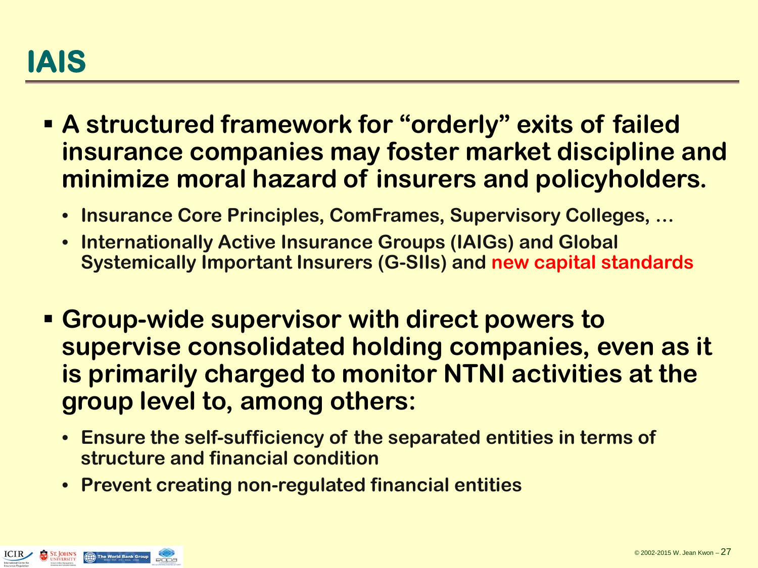- **A structured framework for "orderly" exits of failed insurance companies may foster market discipline and minimize moral hazard of insurers and policyholders.** 
	- **Insurance Core Principles, ComFrames, Supervisory Colleges, …**
	- **Internationally Active Insurance Groups (IAIGs) and Global Systemically Important Insurers (G-SIIs) and new capital standards**
- **Group-wide supervisor with direct powers to supervise consolidated holding companies, even as it is primarily charged to monitor NTNI activities at the group level to, among others:**
	- **Ensure the self-sufficiency of the separated entities in terms of structure and financial condition**
	- **Prevent creating non-regulated financial entities**

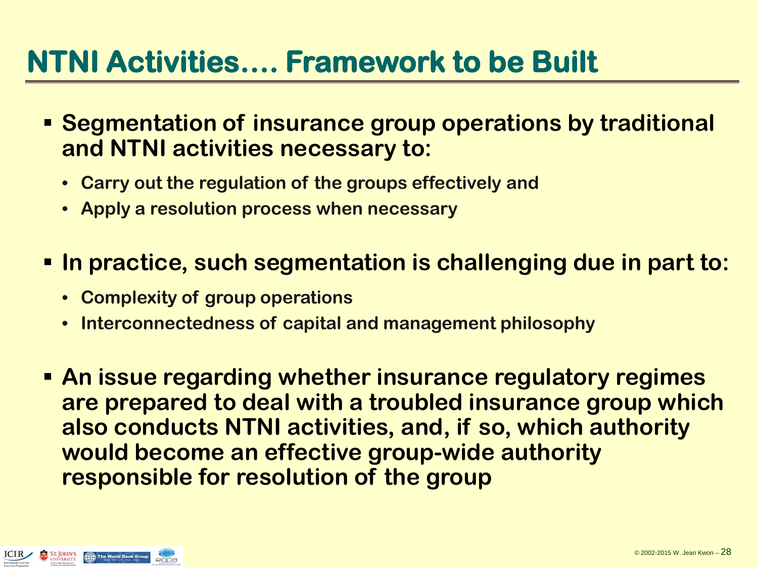## **NTNI Activities…. Framework to be Built**

- **Segmentation of insurance group operations by traditional and NTNI activities necessary to:**
	- **Carry out the regulation of the groups effectively and**
	- **Apply a resolution process when necessary**
- **In practice, such segmentation is challenging due in part to:**
	- **Complexity of group operations**
	- **Interconnectedness of capital and management philosophy**
- **An issue regarding whether insurance regulatory regimes are prepared to deal with a troubled insurance group which also conducts NTNI activities, and, if so, which authority would become an effective group-wide authority responsible for resolution of the group**

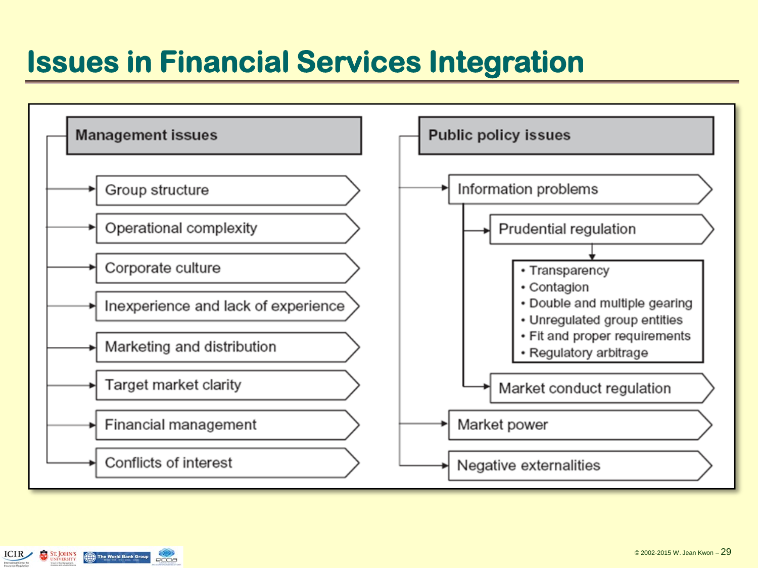## **Issues in Financial Services Integration**



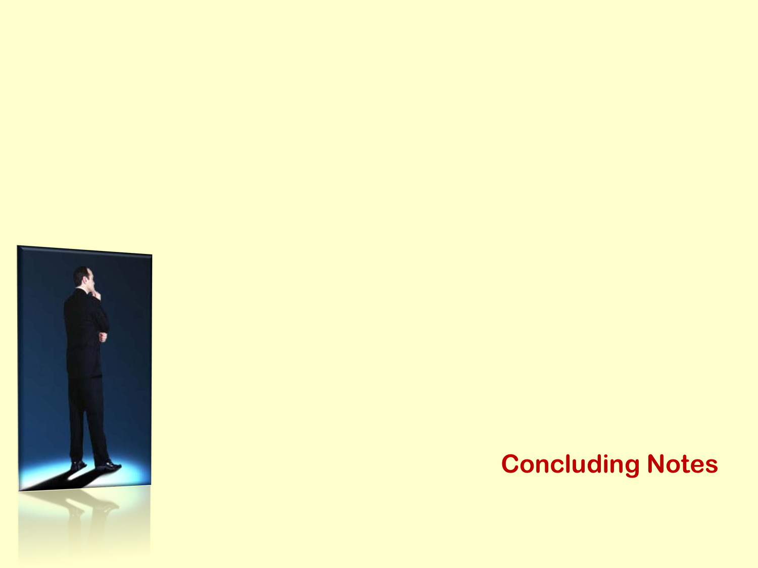

#### **Concluding Notes**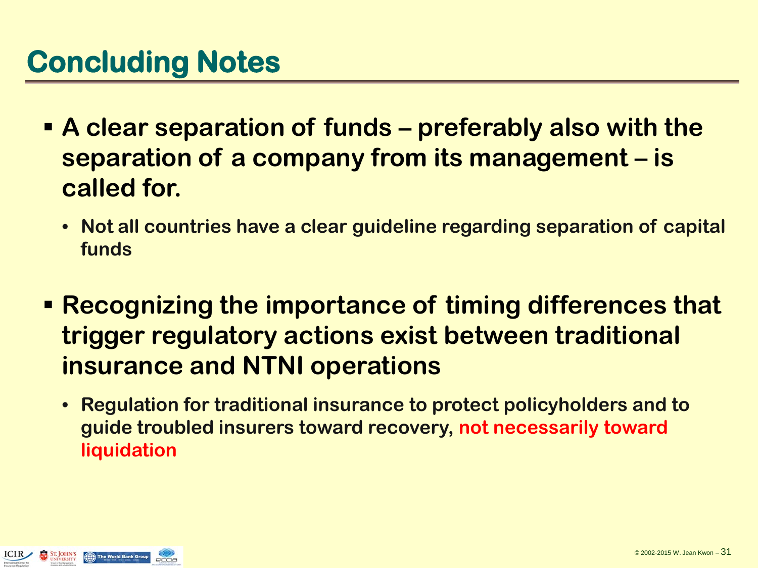- **A clear separation of funds – preferably also with the separation of a company from its management – is called for.**
	- **Not all countries have a clear guideline regarding separation of capital funds**
- **Recognizing the importance of timing differences that trigger regulatory actions exist between traditional insurance and NTNI operations**
	- **Regulation for traditional insurance to protect policyholders and to guide troubled insurers toward recovery, not necessarily toward liquidation**

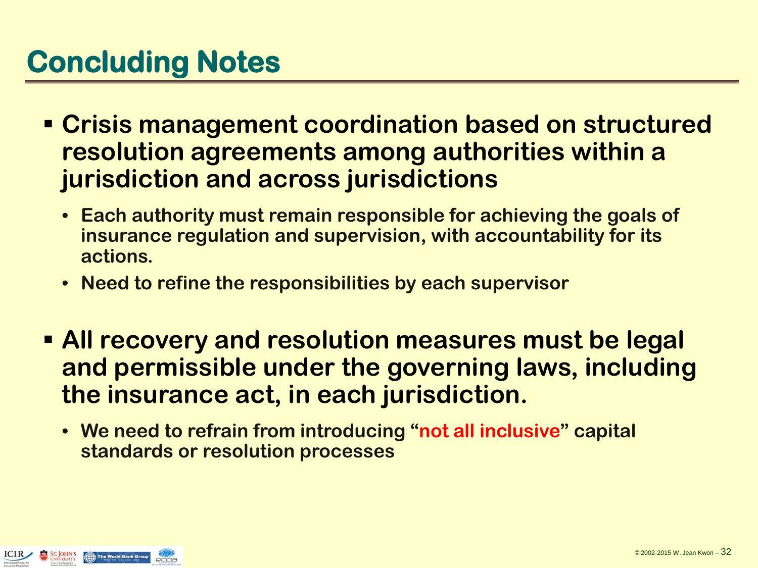## **Concluding Notes**

- **Crisis management coordination based on structured resolution agreements among authorities within a jurisdiction and across jurisdictions**
	- **Each authority must remain responsible for achieving the goals of insurance regulation and supervision, with accountability for its actions.**
	- **Need to refine the responsibilities by each supervisor**
- **All recovery and resolution measures must be legal and permissible under the governing laws, including the insurance act, in each jurisdiction.**
	- **We need to refrain from introducing "not all inclusive" capital standards or resolution processes**